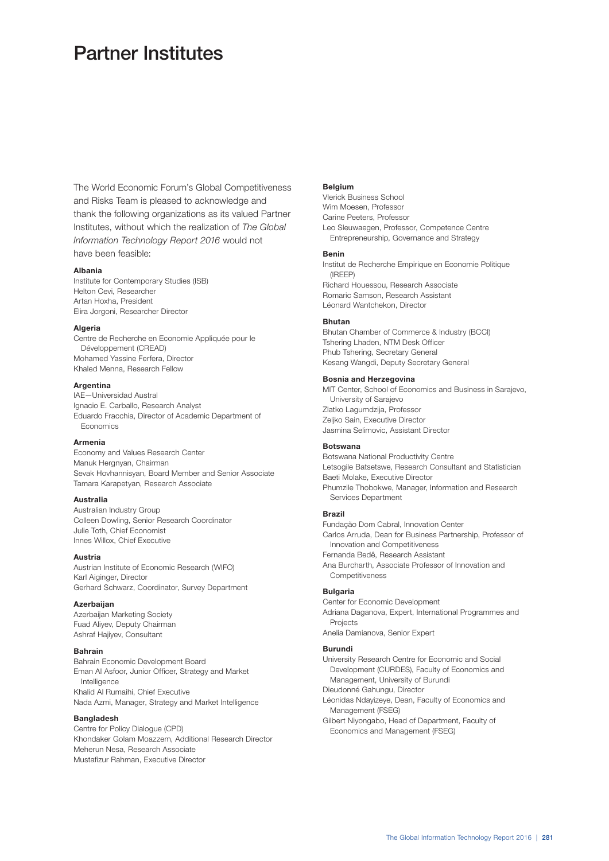The World Economic Forum's Global Competitiveness and Risks Team is pleased to acknowledge and thank the following organizations as its valued Partner Institutes, without which the realization of *The Global Information Technology Report 2016* would not have been feasible:

#### Albania

Institute for Contemporary Studies (ISB) Helton Cevi, Researcher Artan Hoxha, President Elira Jorgoni, Researcher Director

#### Algeria

Centre de Recherche en Economie Appliquée pour le Développement (CREAD) Mohamed Yassine Ferfera, Director Khaled Menna, Research Fellow

### **Argentina**

IAE—Universidad Austral Ignacio E. Carballo, Research Analyst Eduardo Fracchia, Director of Academic Department of Economics

### Armenia

Economy and Values Research Center Manuk Hergnyan, Chairman Sevak Hovhannisyan, Board Member and Senior Associate Tamara Karapetyan, Research Associate

### Australia

Australian Industry Group Colleen Dowling, Senior Research Coordinator Julie Toth, Chief Economist Innes Willox, Chief Executive

### Austria

Austrian Institute of Economic Research (WIFO) Karl Aiginger, Director Gerhard Schwarz, Coordinator, Survey Department

#### **Azerbaijan**

Azerbaijan Marketing Society Fuad Aliyev, Deputy Chairman Ashraf Hajiyev, Consultant

#### Bahrain

Bahrain Economic Development Board Eman Al Asfoor, Junior Officer, Strategy and Market Intelligence Khalid Al Rumaihi, Chief Executive Nada Azmi, Manager, Strategy and Market Intelligence

#### **Bangladesh**

Centre for Policy Dialogue (CPD) Khondaker Golam Moazzem, Additional Research Director Meherun Nesa, Research Associate Mustafizur Rahman, Executive Director

#### Belgium

Vlerick Business School Wim Moesen, Professor Carine Peeters, Professor Leo Sleuwaegen, Professor, Competence Centre Entrepreneurship, Governance and Strategy

### Benin

Institut de Recherche Empirique en Economie Politique (IREEP) Richard Houessou, Research Associate Romaric Samson, Research Assistant Léonard Wantchekon, Director

### Bhutan

Bhutan Chamber of Commerce & Industry (BCCI) Tshering Lhaden, NTM Desk Officer Phub Tshering, Secretary General Kesang Wangdi, Deputy Secretary General

#### Bosnia and Herzegovina

MIT Center, School of Economics and Business in Sarajevo, University of Sarajevo Zlatko Lagumdzija, Professor Zeliko Sain, Executive Director Jasmina Selimovic, Assistant Director Botswana

Botswana National Productivity Centre Letsogile Batsetswe, Research Consultant and Statistician Baeti Molake, Executive Director Phumzile Thobokwe, Manager, Information and Research Services Department Brazil

Fundação Dom Cabral, Innovation Center Carlos Arruda, Dean for Business Partnership, Professor of Innovation and Competitiveness Fernanda Bedê, Research Assistant Ana Burcharth, Associate Professor of Innovation and Competitiveness

## Bulgaria

Center for Economic Development Adriana Daganova, Expert, International Programmes and **Projects** 

Anelia Damianova, Senior Expert

#### Burundi

University Research Centre for Economic and Social Development (CURDES), Faculty of Economics and Management, University of Burundi

Dieudonné Gahungu, Director

Léonidas Ndayizeye, Dean, Faculty of Economics and Management (FSEG)

Gilbert Niyongabo, Head of Department, Faculty of Economics and Management (FSEG)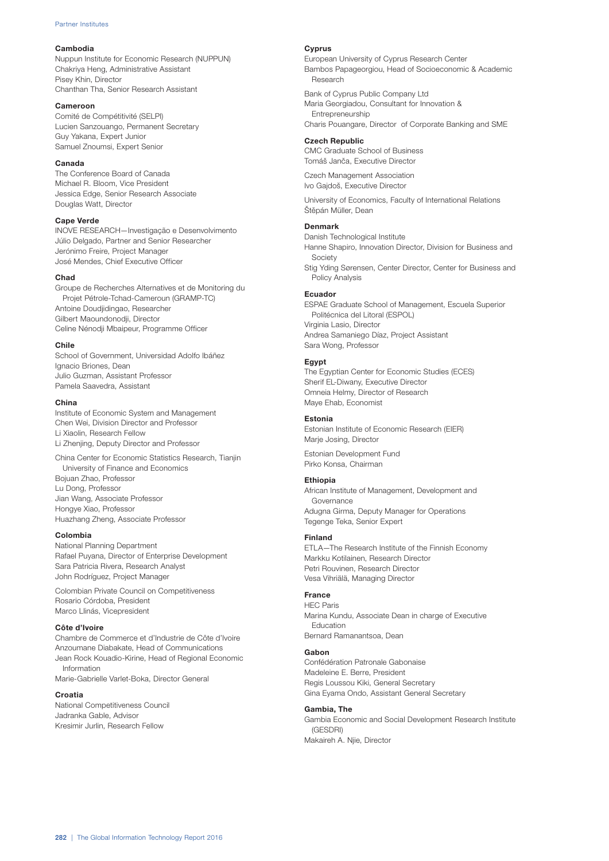### Cambodia

Nuppun Institute for Economic Research (NUPPUN) Chakriya Heng, Administrative Assistant Pisey Khin, Director Chanthan Tha, Senior Research Assistant

#### Cameroon

Comité de Compétitivité (SELPI) Lucien Sanzouango, Permanent Secretary Guy Yakana, Expert Junior Samuel Znoumsi, Expert Senior

#### Canada

The Conference Board of Canada Michael R. Bloom, Vice President Jessica Edge, Senior Research Associate Douglas Watt, Director

### Cape Verde

INOVE RESEARCH—Investigação e Desenvolvimento Júlio Delgado, Partner and Senior Researcher Jerónimo Freire, Project Manager José Mendes, Chief Executive Officer

### Chad

Groupe de Recherches Alternatives et de Monitoring du Projet Pétrole-Tchad-Cameroun (GRAMP-TC) Antoine Doudjidingao, Researcher Gilbert Maoundonodji, Director Celine Nénodji Mbaipeur, Programme Officer

### Chile

School of Government, Universidad Adolfo Ibáñez Ignacio Briones, Dean Julio Guzman, Assistant Professor Pamela Saavedra, Assistant

### China

Institute of Economic System and Management Chen Wei, Division Director and Professor Li Xiaolin, Research Fellow Li Zhenjing, Deputy Director and Professor

China Center for Economic Statistics Research, Tianjin University of Finance and Economics Bojuan Zhao, Professor Lu Dong, Professor Jian Wang, Associate Professor Hongye Xiao, Professor Huazhang Zheng, Associate Professor

#### Colombia

National Planning Department Rafael Puyana, Director of Enterprise Development Sara Patricia Rivera, Research Analyst John Rodríguez, Project Manager

Colombian Private Council on Competitiveness Rosario Córdoba, President Marco Llinás, Vicepresident

#### Côte d'Ivoire

Chambre de Commerce et d'Industrie de Côte d'Ivoire Anzoumane Diabakate, Head of Communications Jean Rock Kouadio-Kirine, Head of Regional Economic Information Marie-Gabrielle Varlet-Boka, Director General

Croatia

National Competitiveness Council Jadranka Gable, Advisor Kresimir Jurlin, Research Fellow

#### **Cyprus**

European University of Cyprus Research Center Bambos Papageorgiou, Head of Socioeconomic & Academic Research Bank of Cyprus Public Company Ltd

Maria Georgiadou, Consultant for Innovation &

Entrepreneurship Charis Pouangare, Director of Corporate Banking and SME

### Czech Republic

CMC Graduate School of Business Tomáš Janča, Executive Director

Czech Management Association Ivo Gajdoš, Executive Director

University of Economics, Faculty of International Relations Štěpán Müller, Dean

#### Denmark

Danish Technological Institute Hanne Shapiro, Innovation Director, Division for Business and **Society** Stig Yding Sørensen, Center Director, Center for Business and Policy Analysis

#### Ecuador

ESPAE Graduate School of Management, Escuela Superior Politécnica del Litoral (ESPOL) Virginia Lasio, Director Andrea Samaniego Díaz, Project Assistant Sara Wong, Professor

### **Egypt**

The Egyptian Center for Economic Studies (ECES) Sherif EL-Diwany, Executive Director Omneia Helmy, Director of Research Maye Ehab, Economist

#### Estonia

Estonian Institute of Economic Research (EIER) Marje Josing, Director

Estonian Development Fund Pirko Konsa, Chairman

### **Ethiopia**

African Institute of Management, Development and Governance Adugna Girma, Deputy Manager for Operations Tegenge Teka, Senior Expert

### Finland

ETLA—The Research Institute of the Finnish Economy Markku Kotilainen, Research Director Petri Rouvinen, Research Director Vesa Vihriälä, Managing Director

### France

HEC Paris Marina Kundu, Associate Dean in charge of Executive Education Bernard Ramanantsoa, Dean

### Gabon

Confédération Patronale Gabonaise Madeleine E. Berre, President Regis Loussou Kiki, General Secretary Gina Eyama Ondo, Assistant General Secretary

### Gambia, The

Gambia Economic and Social Development Research Institute (GESDRI) Makaireh A. Njie, Director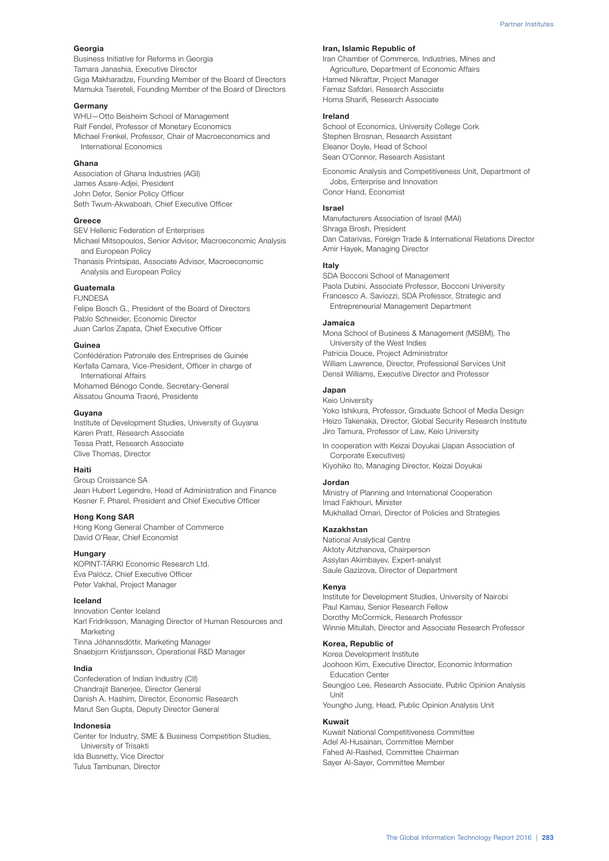#### **Georgia**

Business Initiative for Reforms in Georgia Tamara Janashia, Executive Director Giga Makharadze, Founding Member of the Board of Directors Mamuka Tsereteli, Founding Member of the Board of Directors

#### Germany

WHU—Otto Beisheim School of Management Ralf Fendel, Professor of Monetary Economics Michael Frenkel, Professor, Chair of Macroeconomics and International Economics

#### Ghana

Association of Ghana Industries (AGI) James Asare-Adjei, President John Defor, Senior Policy Officer Seth Twum-Akwaboah, Chief Executive Officer

### **Greece**

SEV Hellenic Federation of Enterprises Michael Mitsopoulos, Senior Advisor, Macroeconomic Analysis and European Policy Thanasis Printsipas, Associate Advisor, Macroeconomic Analysis and European Policy

#### Guatemala

#### **FUNDESA**

Felipe Bosch G., President of the Board of Directors Pablo Schneider, Economic Director Juan Carlos Zapata, Chief Executive Officer

#### Guinea

Confédération Patronale des Entreprises de Guinée Kerfalla Camara, Vice-President, Officer in charge of International Affairs

Mohamed Bénogo Conde, Secretary-General Aïssatou Gnouma Traoré, Presidente

#### Guyana

Institute of Development Studies, University of Guyana Karen Pratt, Research Associate Tessa Pratt, Research Associate Clive Thomas, Director

### Haiti

Group Croissance SA Jean Hubert Legendre, Head of Administration and Finance Kesner F. Pharel, President and Chief Executive Officer

#### Hong Kong SAR

Hong Kong General Chamber of Commerce David O'Rear, Chief Economist

#### Hungary

KOPINT-TÁRKI Economic Research Ltd. Éva Palócz, Chief Executive Officer Peter Vakhal, Project Manager

#### Iceland

Innovation Center Iceland Karl Fridriksson, Managing Director of Human Resources and Marketing Tinna Jóhannsdóttir, Marketing Manager Snaebjorn Kristjansson, Operational R&D Manager

#### India

Confederation of Indian Industry (CII) Chandrajit Banerjee, Director General Danish A. Hashim, Director, Economic Research Marut Sen Gupta, Deputy Director General

#### Indonesia

Center for Industry, SME & Business Competition Studies, University of Trisakti Ida Busnetty, Vice Director Tulus Tambunan, Director

### Iran, Islamic Republic of

Iran Chamber of Commerce, Industries, Mines and Agriculture, Department of Economic Affairs Hamed Nikraftar, Project Manager Farnaz Safdari, Research Associate Homa Sharifi, Research Associate

#### Ireland

School of Economics, University College Cork Stephen Brosnan, Research Assistant Eleanor Doyle, Head of School Sean O'Connor, Research Assistant

Economic Analysis and Competitiveness Unit, Department of Jobs, Enterprise and Innovation Conor Hand, Economist

#### Israel

Manufacturers Association of Israel (MAI) Shraga Brosh, President Dan Catarivas, Foreign Trade & International Relations Director Amir Hayek, Managing Director

### Italy

SDA Bocconi School of Management Paola Dubini, Associate Professor, Bocconi University Francesco A. Saviozzi, SDA Professor, Strategic and Entrepreneurial Management Department

#### Jamaica

Mona School of Business & Management (MSBM), The University of the West Indies Patricia Douce, Project Administrator

William Lawrence, Director, Professional Services Unit Densil Williams, Executive Director and Professor

#### Japan

Keio University

Yoko Ishikura, Professor, Graduate School of Media Design Heizo Takenaka, Director, Global Security Research Institute Jiro Tamura, Professor of Law, Keio University

In cooperation with Keizai Doyukai (Japan Association of Corporate Executives)

Kiyohiko Ito, Managing Director, Keizai Doyukai

#### Jordan

Ministry of Planning and International Cooperation Imad Fakhouri, Minister Mukhallad Omari, Director of Policies and Strategies

#### Kazakhstan

National Analytical Centre Aktoty Aitzhanova, Chairperson Assylan Akimbayev, Expert-analyst Saule Gazizova, Director of Department

#### Kenya

Institute for Development Studies, University of Nairobi Paul Kamau, Senior Research Fellow Dorothy McCormick, Research Professor Winnie Mitullah, Director and Associate Research Professor

## Korea, Republic of

Korea Development Institute Joohoon Kim, Executive Director, Economic Information Education Center Seungjoo Lee, Research Associate, Public Opinion Analysis Unit Youngho Jung, Head, Public Opinion Analysis Unit

#### Kuwait

Kuwait National Competitiveness Committee Adel Al-Husainan, Committee Member Fahed Al-Rashed, Committee Chairman Sayer Al-Sayer, Committee Member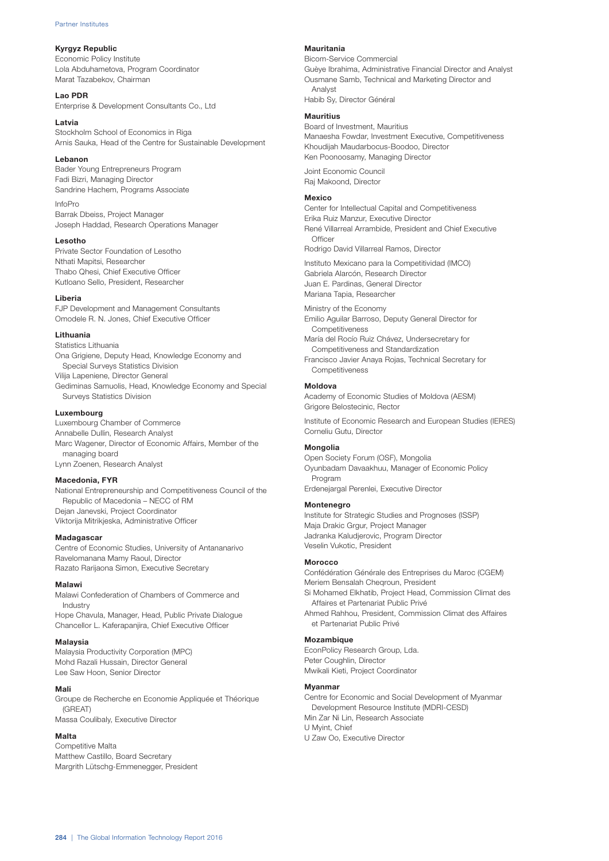#### Kyrgyz Republic

Economic Policy Institute Lola Abduhametova, Program Coordinator Marat Tazabekov, Chairman

#### Lao PDR

Enterprise & Development Consultants Co., Ltd

#### Latvia

Stockholm School of Economics in Riga Arnis Sauka, Head of the Centre for Sustainable Development

#### Lebanon

Bader Young Entrepreneurs Program Fadi Bizri, Managing Director Sandrine Hachem, Programs Associate

InfoPro Barrak Dbeiss, Project Manager Joseph Haddad, Research Operations Manager

#### Lesotho

Private Sector Foundation of Lesotho Nthati Mapitsi, Researcher Thabo Qhesi, Chief Executive Officer Kutloano Sello, President, Researcher

#### Liberia

FJP Development and Management Consultants Omodele R. N. Jones, Chief Executive Officer

### Lithuania

Statistics Lithuania Ona Grigiene, Deputy Head, Knowledge Economy and Special Surveys Statistics Division Vilija Lapeniene, Director General Gediminas Samuolis, Head, Knowledge Economy and Special Surveys Statistics Division

#### Luxembourg

Luxembourg Chamber of Commerce Annabelle Dullin, Research Analyst Marc Wagener, Director of Economic Affairs, Member of the managing board Lynn Zoenen, Research Analyst

### Macedonia, FYR

National Entrepreneurship and Competitiveness Council of the Republic of Macedonia – NECC of RM Dejan Janevski, Project Coordinator Viktorija Mitrikjeska, Administrative Officer

#### **Madagascar**

Centre of Economic Studies, University of Antananarivo Ravelomanana Mamy Raoul, Director Razato Rarijaona Simon, Executive Secretary

#### Malawi

Malawi Confederation of Chambers of Commerce and Industry Hope Chavula, Manager, Head, Public Private Dialogue

Chancellor L. Kaferapanjira, Chief Executive Officer

### Malaysia

Malaysia Productivity Corporation (MPC) Mohd Razali Hussain, Director General Lee Saw Hoon, Senior Director

### Mali

Groupe de Recherche en Economie Appliquée et Théorique (GREAT)

Massa Coulibaly, Executive Director

### Malta

Competitive Malta Matthew Castillo, Board Secretary Margrith Lütschg-Emmenegger, President

#### Mauritania

Bicom-Service Commercial Guèye Ibrahima, Administrative Financial Director and Analyst Ousmane Samb, Technical and Marketing Director and Analyst

Habib Sy, Director Général

### Mauritius

Board of Investment, Mauritius Manaesha Fowdar, Investment Executive, Competitiveness Khoudijah Maudarbocus-Boodoo, Director Ken Poonoosamy, Managing Director

Joint Economic Council Raj Makoond, Director

### Mexico

Center for Intellectual Capital and Competitiveness Erika Ruiz Manzur, Executive Director René Villarreal Arrambide, President and Chief Executive Officer

Rodrigo David Villarreal Ramos, Director

Instituto Mexicano para la Competitividad (IMCO) Gabriela Alarcón, Research Director Juan E. Pardinas, General Director Mariana Tapia, Researcher

Ministry of the Economy Emilio Aguilar Barroso, Deputy General Director for **Competitiveness** María del Rocío Ruiz Chávez, Undersecretary for

Competitiveness and Standardization Francisco Javier Anaya Rojas, Technical Secretary for Competitiveness

#### Moldova

Academy of Economic Studies of Moldova (AESM) Grigore Belostecinic, Rector

Institute of Economic Research and European Studies (IERES) Corneliu Gutu, Director

#### Mongolia

Open Society Forum (OSF), Mongolia Oyunbadam Davaakhuu, Manager of Economic Policy Program Erdenejargal Perenlei, Executive Director

#### Montenegro

Institute for Strategic Studies and Prognoses (ISSP) Maja Drakic Grgur, Project Manager Jadranka Kaludjerovic, Program Director Veselin Vukotic, President

#### **Morocco**

Confédération Générale des Entreprises du Maroc (CGEM) Meriem Bensalah Cheqroun, President

Si Mohamed Elkhatib, Project Head, Commission Climat des Affaires et Partenariat Public Privé

Ahmed Rahhou, President, Commission Climat des Affaires et Partenariat Public Privé

#### Mozambique

EconPolicy Research Group, Lda. Peter Coughlin, Director Mwikali Kieti, Project Coordinator

#### Myanmar

Centre for Economic and Social Development of Myanmar Development Resource Institute (MDRI-CESD) Min Zar Ni Lin, Research Associate U Myint, Chief U Zaw Oo, Executive Director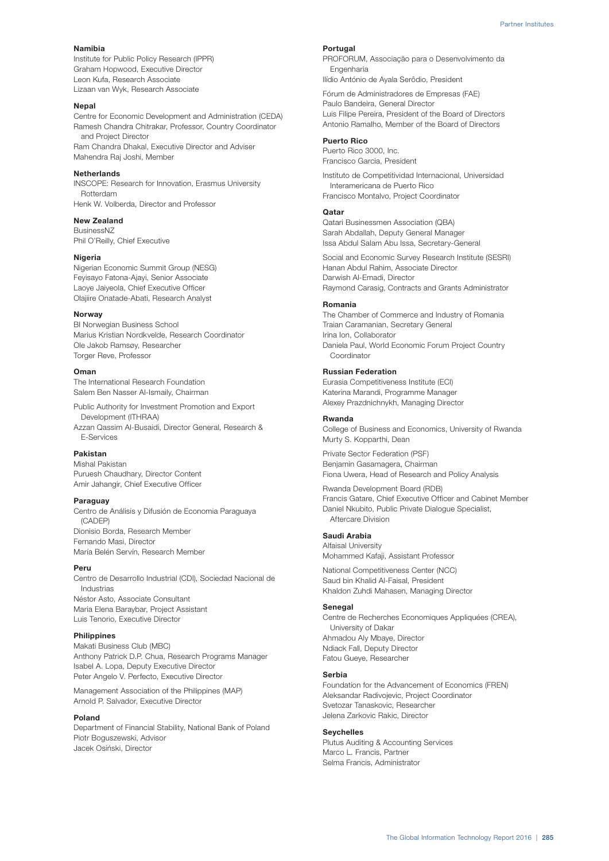#### Namibia

Institute for Public Policy Research (IPPR) Graham Hopwood, Executive Director Leon Kufa, Research Associate Lizaan van Wyk, Research Associate

#### Nepal

Centre for Economic Development and Administration (CEDA) Ramesh Chandra Chitrakar, Professor, Country Coordinator and Project Director Ram Chandra Dhakal, Executive Director and Adviser Mahendra Raj Joshi, Member

### Netherlands

INSCOPE: Research for Innovation, Erasmus University Rotterdam Henk W. Volberda, Director and Professor

#### New Zealand

BusinessNZ Phil O'Reilly, Chief Executive

#### Nigeria

Nigerian Economic Summit Group (NESG) Feyisayo Fatona-Ajayi, Senior Associate Laoye Jaiyeola, Chief Executive Officer Olajiire Onatade-Abati, Research Analyst

#### Norway

BI Norwegian Business School Marius Kristian Nordkvelde, Research Coordinator Ole Jakob Ramsøy, Researcher Torger Reve, Professor

#### Oman

The International Research Foundation Salem Ben Nasser Al-Ismaily, Chairman

Public Authority for Investment Promotion and Export Development (ITHRAA) Azzan Qassim Al-Busaidi, Director General, Research & E-Services

#### Pakistan

Mishal Pakistan Puruesh Chaudhary, Director Content Amir Jahangir, Chief Executive Officer

#### Paraguay

Centro de Análisis y Difusión de Economia Paraguaya (CADEP) Dionisio Borda, Research Member Fernando Masi, Director María Belén Servín, Research Member

#### Peru

Centro de Desarrollo Industrial (CDI), Sociedad Nacional de Industrias Néstor Asto, Associate Consultant Maria Elena Baraybar, Project Assistant Luis Tenorio, Executive Director

#### Philippines

Makati Business Club (MBC) Anthony Patrick D.P. Chua, Research Programs Manager Isabel A. Lopa, Deputy Executive Director Peter Angelo V. Perfecto, Executive Director

Management Association of the Philippines (MAP) Arnold P. Salvador, Executive Director

### Poland

Department of Financial Stability, National Bank of Poland Piotr Boguszewski, Advisor Jacek Osiński, Director

### **Portugal**

PROFORUM, Associação para o Desenvolvimento da Engenharia

Ilídio António de Ayala Serôdio, President

Fórum de Administradores de Empresas (FAE) Paulo Bandeira, General Director Luis Filipe Pereira, President of the Board of Directors Antonio Ramalho, Member of the Board of Directors

### Puerto Rico

Puerto Rico 3000, Inc. Francisco Garcia, President

Instituto de Competitividad Internacional, Universidad Interamericana de Puerto Rico Francisco Montalvo, Project Coordinator

#### **Oatar**

Qatari Businessmen Association (QBA) Sarah Abdallah, Deputy General Manager Issa Abdul Salam Abu Issa, Secretary-General

Social and Economic Survey Research Institute (SESRI) Hanan Abdul Rahim, Associate Director Darwish Al-Emadi, Director Raymond Carasig, Contracts and Grants Administrator

#### Romania

The Chamber of Commerce and Industry of Romania Traian Caramanian, Secretary General Irina Ion, Collaborator Daniela Paul, World Economic Forum Project Country Coordinator

#### Russian Federation

Eurasia Competitiveness Institute (ECI) Katerina Marandi, Programme Manager Alexey Prazdnichnykh, Managing Director

#### Rwanda

College of Business and Economics, University of Rwanda Murty S. Kopparthi, Dean

Private Sector Federation (PSF) Benjamin Gasamagera, Chairman Fiona Uwera, Head of Research and Policy Analysis

Rwanda Development Board (RDB) Francis Gatare, Chief Executive Officer and Cabinet Member Daniel Nkubito, Public Private Dialogue Specialist, Aftercare Division

#### Saudi Arabia

Alfaisal University Mohammed Kafaji, Assistant Professor

National Competitiveness Center (NCC) Saud bin Khalid Al-Faisal, President Khaldon Zuhdi Mahasen, Managing Director

### Senegal

Centre de Recherches Economiques Appliquées (CREA), University of Dakar Ahmadou Aly Mbaye, Director Ndiack Fall, Deputy Director Fatou Gueye, Researcher

#### Serbia

Foundation for the Advancement of Economics (FREN) Aleksandar Radivojevic, Project Coordinator Svetozar Tanaskovic, Researcher Jelena Zarkovic Rakic, Director

#### Seychelles

Plutus Auditing & Accounting Services Marco L. Francis, Partner Selma Francis, Administrator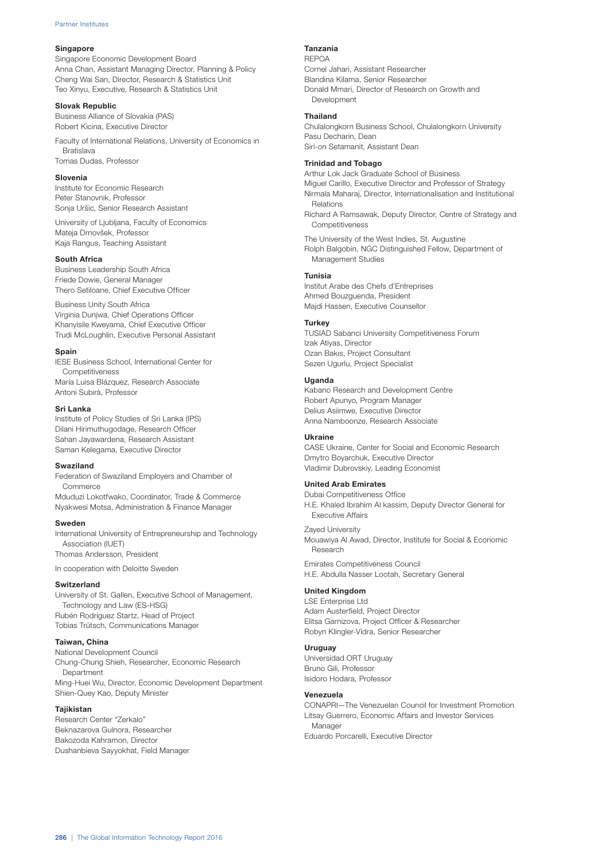### **Singapore**

Singapore Economic Development Board Anna Chan, Assistant Managing Director, Planning & Policy Cheng Wai San, Director, Research & Statistics Unit Teo Xinyu, Executive, Research & Statistics Unit

### Slovak Republic

Business Alliance of Slovakia (PAS) Robert Kicina, Executive Director

Faculty of International Relations, University of Economics in Bratislava Tomas Dudas, Professor

#### Slovenia

Institute for Economic Research Peter Stanovnik, Professor Sonja Uršic, Senior Research Assistant

University of Ljubljana, Faculty of Economics Mateja Drnovšek, Professor Kaja Rangus, Teaching Assistant

#### South Africa

Business Leadership South Africa Friede Dowie, General Manager Thero Setiloane, Chief Executive Officer

Business Unity South Africa Virginia Dunjwa, Chief Operations Officer Khanyisile Kweyama, Chief Executive Officer Trudi McLoughlin, Executive Personal Assistant

### Spain

IESE Business School, International Center for **Competitiveness** María Luisa Blázquez, Research Associate Antoni Subirà, Professor

#### Sri Lanka

Institute of Policy Studies of Sri Lanka (IPS) Dilani Hirimuthugodage, Research Officer Sahan Jayawardena, Research Assistant Saman Kelegama, Executive Director

#### Swaziland

Federation of Swaziland Employers and Chamber of Commerce

Mduduzi Lokotfwako, Coordinator, Trade & Commerce Nyakwesi Motsa, Administration & Finance Manager

#### Sweden

International University of Entrepreneurship and Technology Association (IUET)

Thomas Andersson, President

In cooperation with Deloitte Sweden

#### Switzerland

University of St. Gallen, Executive School of Management, Technology and Law (ES-HSG) Rubén Rodriguez Startz, Head of Project Tobias Trütsch, Communications Manager

### Taiwan, China

National Development Council Chung-Chung Shieh, Researcher, Economic Research **Department** Ming-Huei Wu, Director, Economic Development Department Shien-Quey Kao, Deputy Minister

### Tajikistan

Research Center "Zerkalo" Beknazarova Gulnora, Researcher Bakozoda Kahramon, Director Dushanbieva Sayyokhat, Field Manager

### Tanzania

REPOA Cornel Jahari, Assistant Researcher Blandina Kilama, Senior Researcher Donald Mmari, Director of Research on Growth and Development

### Thailand

Chulalongkorn Business School, Chulalongkorn University Pasu Decharin, Dean Siri-on Setamanit, Assistant Dean

### Trinidad and Tobago

Arthur Lok Jack Graduate School of Business Miguel Carillo, Executive Director and Professor of Strategy Nirmala Maharaj, Director, Internationalisation and Institutional Relations Richard A Ramsawak, Deputy Director, Centre of Strategy and Competitiveness The University of the West Indies, St. Augustine

Rolph Balgobin, NGC Distinguished Fellow, Department of Management Studies

#### Tunisia

Institut Arabe des Chefs d'Entreprises Ahmed Bouzguenda, President Majdi Hassen, Executive Counsellor

#### **Turkey**

TUSIAD Sabanci University Competitiveness Forum Izak Atiyas, Director Ozan Bakıs, Project Consultant Sezen Ugurlu, Project Specialist

#### Uganda

Kabano Research and Development Centre Robert Apunyo, Program Manager Delius Asiimwe, Executive Director Anna Namboonze, Research Associate

#### Ukraine

CASE Ukraine, Center for Social and Economic Research Dmytro Boyarchuk, Executive Director Vladimir Dubrovskiy, Leading Economist

#### United Arab Emirates

Dubai Competitiveness Office H.E. Khaled Ibrahim Al kassim, Deputy Director General for Executive Affairs

Zayed University Mouawiya Al Awad, Director, Institute for Social & Economic Research

Emirates Competitiveness Council H.E. Abdulla Nasser Lootah, Secretary General

### United Kingdom

LSE Enterprise Ltd Adam Austerfield, Project Director Elitsa Garnizova, Project Officer & Researcher Robyn Klingler-Vidra, Senior Researcher

#### Uruguay

Universidad ORT Uruguay Bruno Gili, Professor Isidoro Hodara, Professor

### Venezuela

CONAPRI—The Venezuelan Council for Investment Promotion Litsay Guerrero, Economic Affairs and Investor Services Manager Eduardo Porcarelli, Executive Director